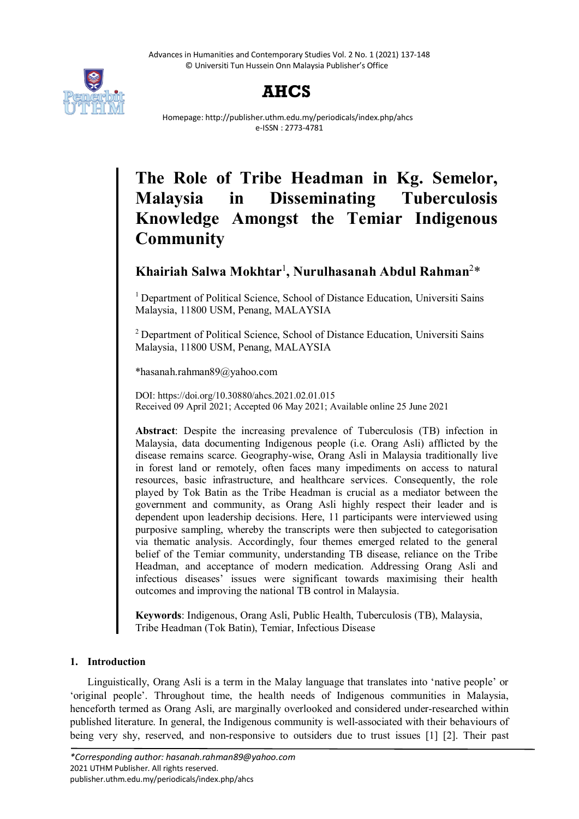



Homepage: http://publisher.uthm.edu.my/periodicals/index.php/ahcs e-ISSN : 2773-4781

# **The Role of Tribe Headman in Kg. Semelor, Malaysia in Disseminating Tuberculosis Knowledge Amongst the Temiar Indigenous Community**

# **Khairiah Salwa Mokhtar**<sup>1</sup> **, Nurulhasanah Abdul Rahman**<sup>2</sup> \*

<sup>1</sup> Department of Political Science, School of Distance Education, Universiti Sains Malaysia, 11800 USM, Penang, MALAYSIA

<sup>2</sup> Department of Political Science, School of Distance Education, Universiti Sains Malaysia, 11800 USM, Penang, MALAYSIA

\*hasanah.rahman89@yahoo.com

DOI: https://doi.org/10.30880/ahcs.2021.02.01.015 Received 09 April 2021; Accepted 06 May 2021; Available online 25 June 2021

**Abstract**: Despite the increasing prevalence of Tuberculosis (TB) infection in Malaysia, data documenting Indigenous people (i.e. Orang Asli) afflicted by the disease remains scarce. Geography-wise, Orang Asli in Malaysia traditionally live in forest land or remotely, often faces many impediments on access to natural resources, basic infrastructure, and healthcare services. Consequently, the role played by Tok Batin as the Tribe Headman is crucial as a mediator between the government and community, as Orang Asli highly respect their leader and is dependent upon leadership decisions. Here, 11 participants were interviewed using purposive sampling, whereby the transcripts were then subjected to categorisation via thematic analysis. Accordingly, four themes emerged related to the general belief of the Temiar community, understanding TB disease, reliance on the Tribe Headman, and acceptance of modern medication. Addressing Orang Asli and infectious diseases' issues were significant towards maximising their health outcomes and improving the national TB control in Malaysia.

**Keywords**: Indigenous, Orang Asli, Public Health, Tuberculosis (TB), Malaysia, Tribe Headman (Tok Batin), Temiar, Infectious Disease

# **1. Introduction**

Linguistically, Orang Asli is a term in the Malay language that translates into 'native people' or 'original people'. Throughout time, the health needs of Indigenous communities in Malaysia, henceforth termed as Orang Asli, are marginally overlooked and considered under-researched within published literature. In general, the Indigenous community is well-associated with their behaviours of being very shy, reserved, and non-responsive to outsiders due to trust issues [1] [2]. Their past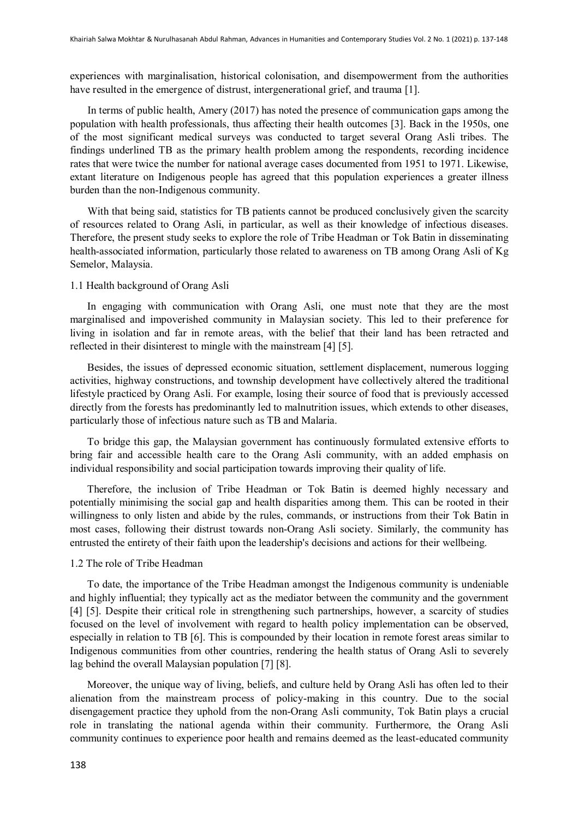experiences with marginalisation, historical colonisation, and disempowerment from the authorities have resulted in the emergence of distrust, intergenerational grief, and trauma [1].

In terms of public health, Amery (2017) has noted the presence of communication gaps among the population with health professionals, thus affecting their health outcomes [3]. Back in the 1950s, one of the most significant medical surveys was conducted to target several Orang Asli tribes. The findings underlined TB as the primary health problem among the respondents, recording incidence rates that were twice the number for national average cases documented from 1951 to 1971. Likewise, extant literature on Indigenous people has agreed that this population experiences a greater illness burden than the non-Indigenous community.

With that being said, statistics for TB patients cannot be produced conclusively given the scarcity of resources related to Orang Asli, in particular, as well as their knowledge of infectious diseases. Therefore, the present study seeks to explore the role of Tribe Headman or Tok Batin in disseminating health-associated information, particularly those related to awareness on TB among Orang Asli of Kg Semelor, Malaysia.

# 1.1 Health background of Orang Asli

In engaging with communication with Orang Asli, one must note that they are the most marginalised and impoverished community in Malaysian society. This led to their preference for living in isolation and far in remote areas, with the belief that their land has been retracted and reflected in their disinterest to mingle with the mainstream [4] [5].

Besides, the issues of depressed economic situation, settlement displacement, numerous logging activities, highway constructions, and township development have collectively altered the traditional lifestyle practiced by Orang Asli. For example, losing their source of food that is previously accessed directly from the forests has predominantly led to malnutrition issues, which extends to other diseases, particularly those of infectious nature such as TB and Malaria.

To bridge this gap, the Malaysian government has continuously formulated extensive efforts to bring fair and accessible health care to the Orang Asli community, with an added emphasis on individual responsibility and social participation towards improving their quality of life.

Therefore, the inclusion of Tribe Headman or Tok Batin is deemed highly necessary and potentially minimising the social gap and health disparities among them. This can be rooted in their willingness to only listen and abide by the rules, commands, or instructions from their Tok Batin in most cases, following their distrust towards non-Orang Asli society. Similarly, the community has entrusted the entirety of their faith upon the leadership's decisions and actions for their wellbeing.

#### 1.2 The role of Tribe Headman

To date, the importance of the Tribe Headman amongst the Indigenous community is undeniable and highly influential; they typically act as the mediator between the community and the government [4] [5]. Despite their critical role in strengthening such partnerships, however, a scarcity of studies focused on the level of involvement with regard to health policy implementation can be observed, especially in relation to TB [6]. This is compounded by their location in remote forest areas similar to Indigenous communities from other countries, rendering the health status of Orang Asli to severely lag behind the overall Malaysian population [7] [8].

Moreover, the unique way of living, beliefs, and culture held by Orang Asli has often led to their alienation from the mainstream process of policy-making in this country. Due to the social disengagement practice they uphold from the non-Orang Asli community, Tok Batin plays a crucial role in translating the national agenda within their community. Furthermore, the Orang Asli community continues to experience poor health and remains deemed as the least-educated community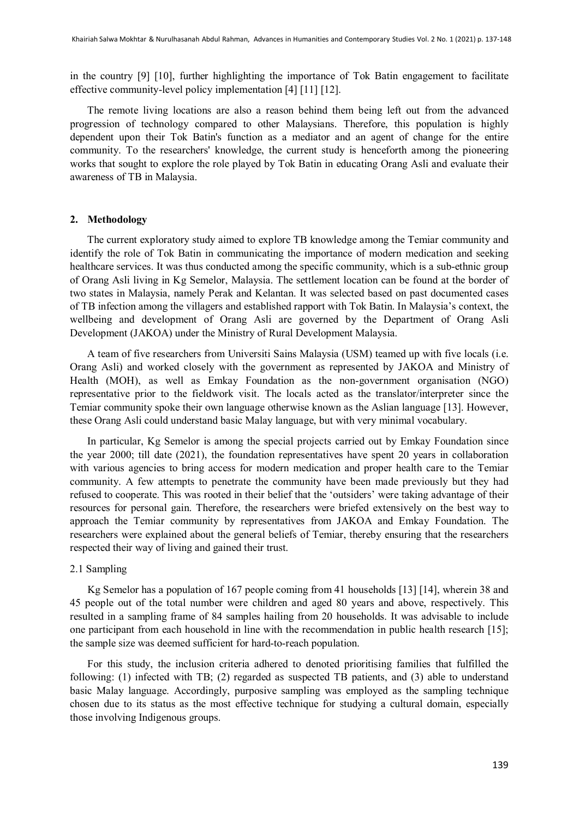in the country [9] [10], further highlighting the importance of Tok Batin engagement to facilitate effective community-level policy implementation [4] [11] [12].

The remote living locations are also a reason behind them being left out from the advanced progression of technology compared to other Malaysians. Therefore, this population is highly dependent upon their Tok Batin's function as a mediator and an agent of change for the entire community. To the researchers' knowledge, the current study is henceforth among the pioneering works that sought to explore the role played by Tok Batin in educating Orang Asli and evaluate their awareness of TB in Malaysia.

### **2. Methodology**

The current exploratory study aimed to explore TB knowledge among the Temiar community and identify the role of Tok Batin in communicating the importance of modern medication and seeking healthcare services. It was thus conducted among the specific community, which is a sub-ethnic group of Orang Asli living in Kg Semelor, Malaysia. The settlement location can be found at the border of two states in Malaysia, namely Perak and Kelantan. It was selected based on past documented cases of TB infection among the villagers and established rapport with Tok Batin. In Malaysia's context, the wellbeing and development of Orang Asli are governed by the Department of Orang Asli Development (JAKOA) under the Ministry of Rural Development Malaysia.

A team of five researchers from Universiti Sains Malaysia (USM) teamed up with five locals (i.e. Orang Asli) and worked closely with the government as represented by JAKOA and Ministry of Health (MOH), as well as Emkay Foundation as the non-government organisation (NGO) representative prior to the fieldwork visit. The locals acted as the translator/interpreter since the Temiar community spoke their own language otherwise known as the Aslian language [13]. However, these Orang Asli could understand basic Malay language, but with very minimal vocabulary.

In particular, Kg Semelor is among the special projects carried out by Emkay Foundation since the year 2000; till date (2021), the foundation representatives have spent 20 years in collaboration with various agencies to bring access for modern medication and proper health care to the Temiar community. A few attempts to penetrate the community have been made previously but they had refused to cooperate. This was rooted in their belief that the 'outsiders' were taking advantage of their resources for personal gain. Therefore, the researchers were briefed extensively on the best way to approach the Temiar community by representatives from JAKOA and Emkay Foundation. The researchers were explained about the general beliefs of Temiar, thereby ensuring that the researchers respected their way of living and gained their trust.

# 2.1 Sampling

Kg Semelor has a population of 167 people coming from 41 households [13] [14], wherein 38 and 45 people out of the total number were children and aged 80 years and above, respectively. This resulted in a sampling frame of 84 samples hailing from 20 households. It was advisable to include one participant from each household in line with the recommendation in public health research [15]; the sample size was deemed sufficient for hard-to-reach population.

For this study, the inclusion criteria adhered to denoted prioritising families that fulfilled the following: (1) infected with TB; (2) regarded as suspected TB patients, and (3) able to understand basic Malay language. Accordingly, purposive sampling was employed as the sampling technique chosen due to its status as the most effective technique for studying a cultural domain, especially those involving Indigenous groups.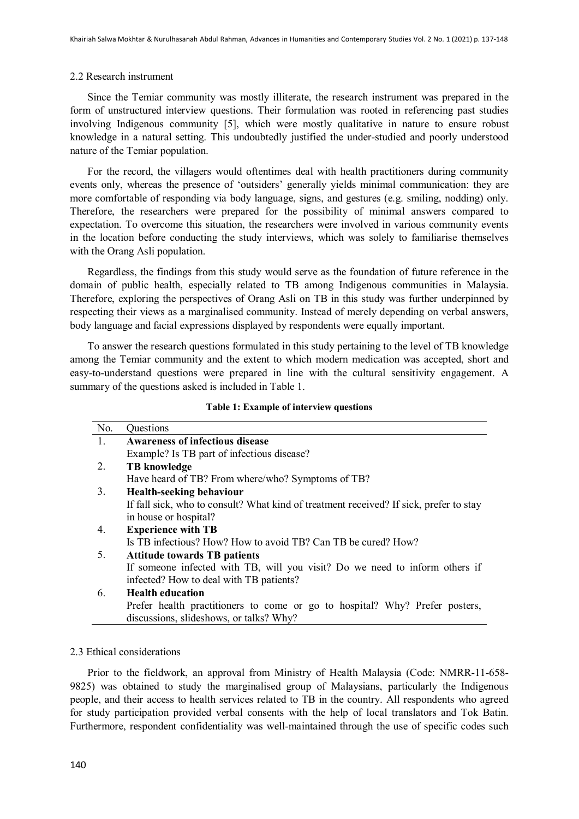#### 2.2 Research instrument

Since the Temiar community was mostly illiterate, the research instrument was prepared in the form of unstructured interview questions. Their formulation was rooted in referencing past studies involving Indigenous community [5], which were mostly qualitative in nature to ensure robust knowledge in a natural setting. This undoubtedly justified the under-studied and poorly understood nature of the Temiar population.

For the record, the villagers would oftentimes deal with health practitioners during community events only, whereas the presence of 'outsiders' generally yields minimal communication: they are more comfortable of responding via body language, signs, and gestures (e.g. smiling, nodding) only. Therefore, the researchers were prepared for the possibility of minimal answers compared to expectation. To overcome this situation, the researchers were involved in various community events in the location before conducting the study interviews, which was solely to familiarise themselves with the Orang Asli population.

Regardless, the findings from this study would serve as the foundation of future reference in the domain of public health, especially related to TB among Indigenous communities in Malaysia. Therefore, exploring the perspectives of Orang Asli on TB in this study was further underpinned by respecting their views as a marginalised community. Instead of merely depending on verbal answers, body language and facial expressions displayed by respondents were equally important.

To answer the research questions formulated in this study pertaining to the level of TB knowledge among the Temiar community and the extent to which modern medication was accepted, short and easy-to-understand questions were prepared in line with the cultural sensitivity engagement. A summary of the questions asked is included in Table 1.

|  |  |  | Table 1: Example of interview questions |  |
|--|--|--|-----------------------------------------|--|
|--|--|--|-----------------------------------------|--|

| No. | Questions                                                                              |  |  |  |
|-----|----------------------------------------------------------------------------------------|--|--|--|
| 1.  | <b>Awareness of infectious disease</b>                                                 |  |  |  |
|     | Example? Is TB part of infectious disease?                                             |  |  |  |
| 2.  | <b>TB</b> knowledge                                                                    |  |  |  |
|     | Have heard of TB? From where/who? Symptoms of TB?                                      |  |  |  |
| 3.  | <b>Health-seeking behaviour</b>                                                        |  |  |  |
|     | If fall sick, who to consult? What kind of treatment received? If sick, prefer to stay |  |  |  |
|     | in house or hospital?                                                                  |  |  |  |
| 4.  | <b>Experience with TB</b>                                                              |  |  |  |
|     | Is TB infectious? How? How to avoid TB? Can TB be cured? How?                          |  |  |  |
| 5.  | <b>Attitude towards TB patients</b>                                                    |  |  |  |
|     | If someone infected with TB, will you visit? Do we need to inform others if            |  |  |  |
|     | infected? How to deal with TB patients?                                                |  |  |  |
| 6.  | <b>Health education</b>                                                                |  |  |  |
|     | Prefer health practitioners to come or go to hospital? Why? Prefer posters,            |  |  |  |
|     | discussions, slideshows, or talks? Why?                                                |  |  |  |

#### 2.3 Ethical considerations

Prior to the fieldwork, an approval from Ministry of Health Malaysia (Code: NMRR-11-658- 9825) was obtained to study the marginalised group of Malaysians, particularly the Indigenous people, and their access to health services related to TB in the country. All respondents who agreed for study participation provided verbal consents with the help of local translators and Tok Batin. Furthermore, respondent confidentiality was well-maintained through the use of specific codes such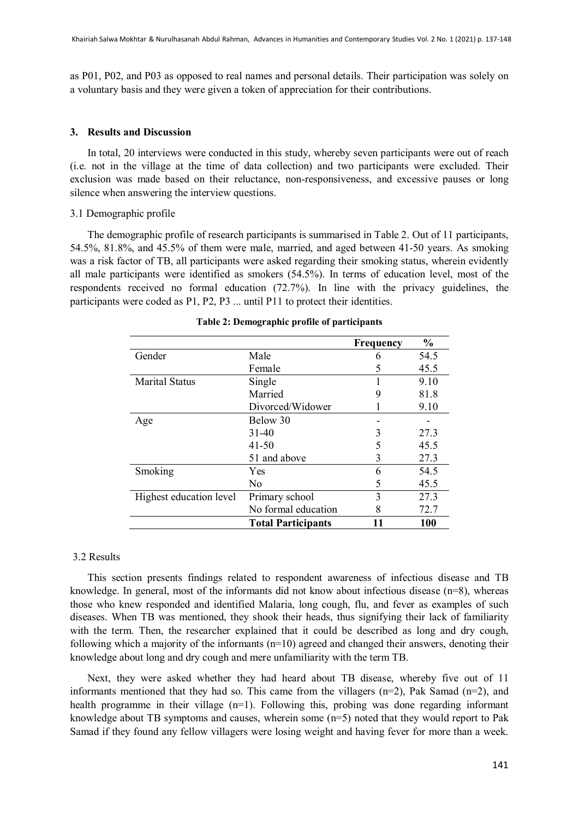as P01, P02, and P03 as opposed to real names and personal details. Their participation was solely on a voluntary basis and they were given a token of appreciation for their contributions.

#### **3. Results and Discussion**

In total, 20 interviews were conducted in this study, whereby seven participants were out of reach (i.e. not in the village at the time of data collection) and two participants were excluded. Their exclusion was made based on their reluctance, non-responsiveness, and excessive pauses or long silence when answering the interview questions.

# 3.1 Demographic profile

The demographic profile of research participants is summarised in Table 2. Out of 11 participants, 54.5%, 81.8%, and 45.5% of them were male, married, and aged between 41-50 years. As smoking was a risk factor of TB, all participants were asked regarding their smoking status, wherein evidently all male participants were identified as smokers (54.5%). In terms of education level, most of the respondents received no formal education (72.7%). In line with the privacy guidelines, the participants were coded as P1, P2, P3 ... until P11 to protect their identities.

|                         |                           | <b>Frequency</b> | $\frac{0}{0}$ |
|-------------------------|---------------------------|------------------|---------------|
| Gender                  | Male                      | 6                | 54.5          |
|                         | Female                    |                  | 45.5          |
| <b>Marital Status</b>   | Single                    |                  | 9.10          |
|                         | Married                   | 9                | 81.8          |
|                         | Divorced/Widower          |                  | 9.10          |
| Age                     | Below 30                  |                  |               |
|                         | $31-40$                   |                  | 27.3          |
|                         | $41 - 50$                 |                  | 45.5          |
|                         | 51 and above              | 3                | 27.3          |
| Smoking                 | Yes                       | 6                | 54.5          |
|                         | No                        | 5                | 45.5          |
| Highest education level | Primary school            | 3                | 27.3          |
|                         | No formal education       | 8                | 72.7          |
|                         | <b>Total Participants</b> | 11               | <b>100</b>    |

#### **Table 2: Demographic profile of participants**

#### 3.2 Results

This section presents findings related to respondent awareness of infectious disease and TB knowledge. In general, most of the informants did not know about infectious disease  $(n=8)$ , whereas those who knew responded and identified Malaria, long cough, flu, and fever as examples of such diseases. When TB was mentioned, they shook their heads, thus signifying their lack of familiarity with the term. Then, the researcher explained that it could be described as long and dry cough, following which a majority of the informants  $(n=10)$  agreed and changed their answers, denoting their knowledge about long and dry cough and mere unfamiliarity with the term TB.

Next, they were asked whether they had heard about TB disease, whereby five out of 11 informants mentioned that they had so. This came from the villagers  $(n=2)$ , Pak Samad  $(n=2)$ , and health programme in their village (n=1). Following this, probing was done regarding informant knowledge about TB symptoms and causes, wherein some (n=5) noted that they would report to Pak Samad if they found any fellow villagers were losing weight and having fever for more than a week.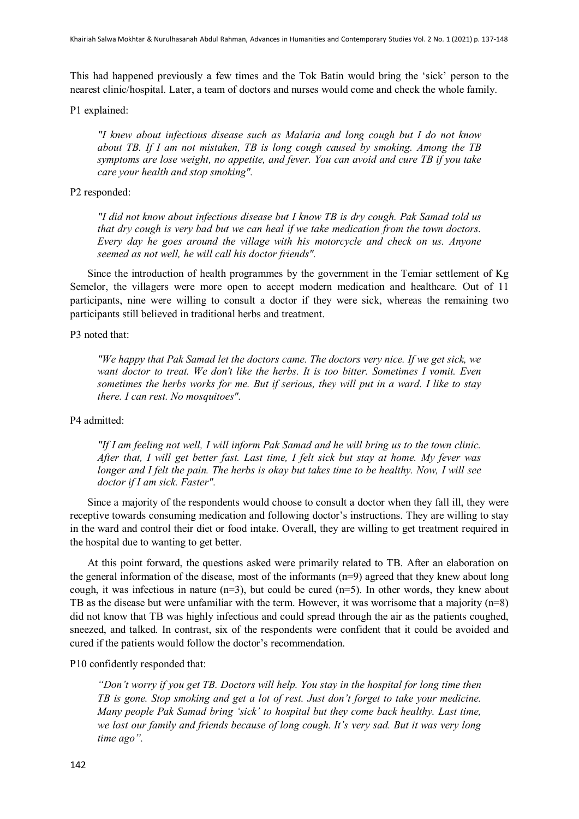This had happened previously a few times and the Tok Batin would bring the 'sick' person to the nearest clinic/hospital. Later, a team of doctors and nurses would come and check the whole family.

P1 explained:

*"I knew about infectious disease such as Malaria and long cough but I do not know about TB. If I am not mistaken, TB is long cough caused by smoking. Among the TB symptoms are lose weight, no appetite, and fever. You can avoid and cure TB if you take care your health and stop smoking".*

### P2 responded:

*"I did not know about infectious disease but I know TB is dry cough. Pak Samad told us that dry cough is very bad but we can heal if we take medication from the town doctors. Every day he goes around the village with his motorcycle and check on us. Anyone seemed as not well, he will call his doctor friends".*

Since the introduction of health programmes by the government in the Temiar settlement of Kg Semelor, the villagers were more open to accept modern medication and healthcare. Out of 11 participants, nine were willing to consult a doctor if they were sick, whereas the remaining two participants still believed in traditional herbs and treatment.

# P3 noted that:

*"We happy that Pak Samad let the doctors came. The doctors very nice. If we get sick, we want doctor to treat. We don't like the herbs. It is too bitter. Sometimes I vomit. Even sometimes the herbs works for me. But if serious, they will put in a ward. I like to stay there. I can rest. No mosquitoes".*

# P4 admitted:

*"If I am feeling not well, I will inform Pak Samad and he will bring us to the town clinic. After that, I will get better fast. Last time, I felt sick but stay at home. My fever was longer and I felt the pain. The herbs is okay but takes time to be healthy. Now, I will see doctor if I am sick. Faster".*

Since a majority of the respondents would choose to consult a doctor when they fall ill, they were receptive towards consuming medication and following doctor's instructions. They are willing to stay in the ward and control their diet or food intake. Overall, they are willing to get treatment required in the hospital due to wanting to get better.

At this point forward, the questions asked were primarily related to TB. After an elaboration on the general information of the disease, most of the informants (n=9) agreed that they knew about long cough, it was infectious in nature (n=3), but could be cured (n=5). In other words, they knew about TB as the disease but were unfamiliar with the term. However, it was worrisome that a majority ( $n=8$ ) did not know that TB was highly infectious and could spread through the air as the patients coughed, sneezed, and talked. In contrast, six of the respondents were confident that it could be avoided and cured if the patients would follow the doctor's recommendation.

# P10 confidently responded that:

*"Don't worry if you get TB. Doctors will help. You stay in the hospital for long time then TB is gone. Stop smoking and get a lot of rest. Just don't forget to take your medicine. Many people Pak Samad bring 'sick' to hospital but they come back healthy. Last time, we lost our family and friends because of long cough. It's very sad. But it was very long time ago".*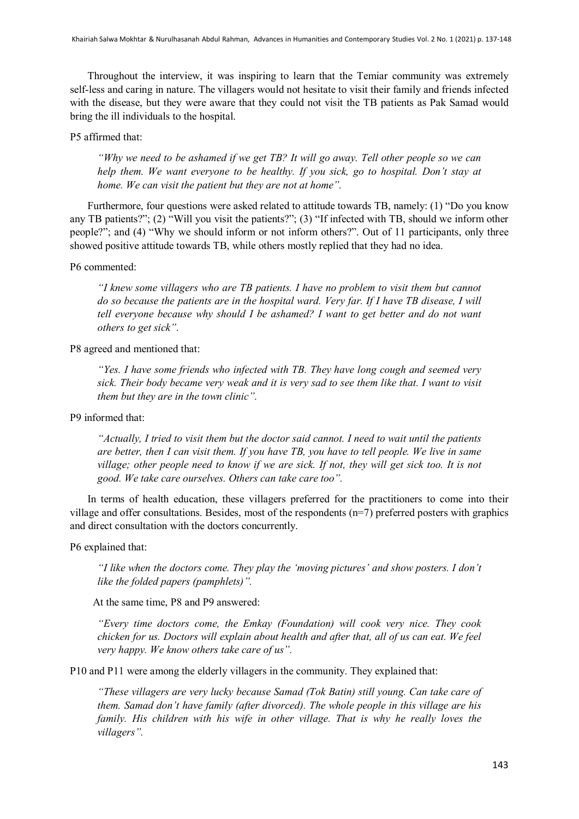Throughout the interview, it was inspiring to learn that the Temiar community was extremely self-less and caring in nature. The villagers would not hesitate to visit their family and friends infected with the disease, but they were aware that they could not visit the TB patients as Pak Samad would bring the ill individuals to the hospital.

# P5 affirmed that:

*"Why we need to be ashamed if we get TB? It will go away. Tell other people so we can help them. We want everyone to be healthy. If you sick, go to hospital. Don't stay at home. We can visit the patient but they are not at home".*

Furthermore, four questions were asked related to attitude towards TB, namely: (1) "Do you know any TB patients?"; (2) "Will you visit the patients?"; (3) "If infected with TB, should we inform other people?"; and (4) "Why we should inform or not inform others?". Out of 11 participants, only three showed positive attitude towards TB, while others mostly replied that they had no idea.

# P6 commented:

*"I knew some villagers who are TB patients. I have no problem to visit them but cannot do so because the patients are in the hospital ward. Very far. If I have TB disease, I will tell everyone because why should I be ashamed? I want to get better and do not want others to get sick".*

P8 agreed and mentioned that:

*"Yes. I have some friends who infected with TB. They have long cough and seemed very sick. Their body became very weak and it is very sad to see them like that. I want to visit them but they are in the town clinic".* 

P9 informed that:

*"Actually, I tried to visit them but the doctor said cannot. I need to wait until the patients are better, then I can visit them. If you have TB, you have to tell people. We live in same village; other people need to know if we are sick. If not, they will get sick too. It is not good. We take care ourselves. Others can take care too".*

In terms of health education, these villagers preferred for the practitioners to come into their village and offer consultations. Besides, most of the respondents (n=7) preferred posters with graphics and direct consultation with the doctors concurrently.

P6 explained that:

*"I like when the doctors come. They play the 'moving pictures' and show posters. I don't like the folded papers (pamphlets)".*

At the same time, P8 and P9 answered:

*"Every time doctors come, the Emkay (Foundation) will cook very nice. They cook chicken for us. Doctors will explain about health and after that, all of us can eat. We feel very happy. We know others take care of us".*

P10 and P11 were among the elderly villagers in the community. They explained that:

*"These villagers are very lucky because Samad (Tok Batin) still young. Can take care of them. Samad don't have family (after divorced). The whole people in this village are his family. His children with his wife in other village. That is why he really loves the villagers".*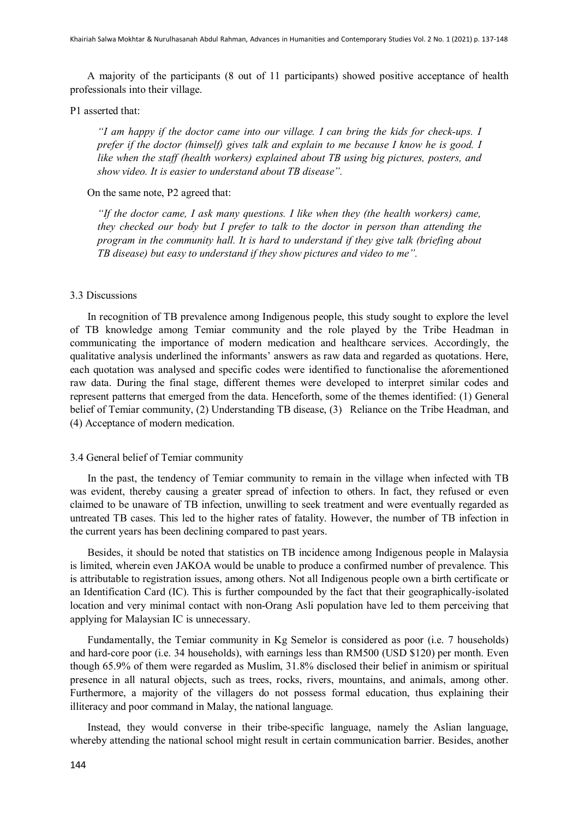A majority of the participants (8 out of 11 participants) showed positive acceptance of health professionals into their village.

# P1 asserted that:

*"I am happy if the doctor came into our village. I can bring the kids for check-ups. I prefer if the doctor (himself) gives talk and explain to me because I know he is good. I like when the staff (health workers) explained about TB using big pictures, posters, and show video. It is easier to understand about TB disease".*

### On the same note, P2 agreed that:

*"If the doctor came, I ask many questions. I like when they (the health workers) came, they checked our body but I prefer to talk to the doctor in person than attending the program in the community hall. It is hard to understand if they give talk (briefing about TB disease) but easy to understand if they show pictures and video to me".* 

# 3.3 Discussions

In recognition of TB prevalence among Indigenous people, this study sought to explore the level of TB knowledge among Temiar community and the role played by the Tribe Headman in communicating the importance of modern medication and healthcare services. Accordingly, the qualitative analysis underlined the informants' answers as raw data and regarded as quotations. Here, each quotation was analysed and specific codes were identified to functionalise the aforementioned raw data. During the final stage, different themes were developed to interpret similar codes and represent patterns that emerged from the data. Henceforth, some of the themes identified: (1) General belief of Temiar community, (2) Understanding TB disease, (3) Reliance on the Tribe Headman, and (4) Acceptance of modern medication.

#### 3.4 General belief of Temiar community

In the past, the tendency of Temiar community to remain in the village when infected with TB was evident, thereby causing a greater spread of infection to others. In fact, they refused or even claimed to be unaware of TB infection, unwilling to seek treatment and were eventually regarded as untreated TB cases. This led to the higher rates of fatality. However, the number of TB infection in the current years has been declining compared to past years.

Besides, it should be noted that statistics on TB incidence among Indigenous people in Malaysia is limited, wherein even JAKOA would be unable to produce a confirmed number of prevalence. This is attributable to registration issues, among others. Not all Indigenous people own a birth certificate or an Identification Card (IC). This is further compounded by the fact that their geographically-isolated location and very minimal contact with non-Orang Asli population have led to them perceiving that applying for Malaysian IC is unnecessary.

Fundamentally, the Temiar community in Kg Semelor is considered as poor (i.e. 7 households) and hard-core poor (i.e. 34 households), with earnings less than RM500 (USD \$120) per month. Even though 65.9% of them were regarded as Muslim, 31.8% disclosed their belief in animism or spiritual presence in all natural objects, such as trees, rocks, rivers, mountains, and animals, among other. Furthermore, a majority of the villagers do not possess formal education, thus explaining their illiteracy and poor command in Malay, the national language.

Instead, they would converse in their tribe-specific language, namely the Aslian language, whereby attending the national school might result in certain communication barrier. Besides, another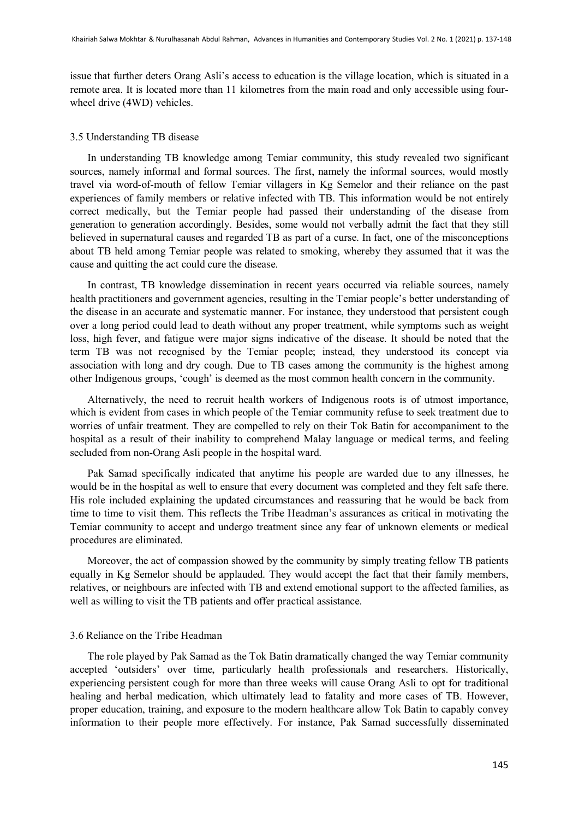issue that further deters Orang Asli's access to education is the village location, which is situated in a remote area. It is located more than 11 kilometres from the main road and only accessible using fourwheel drive (4WD) vehicles.

#### 3.5 Understanding TB disease

In understanding TB knowledge among Temiar community, this study revealed two significant sources, namely informal and formal sources. The first, namely the informal sources, would mostly travel via word-of-mouth of fellow Temiar villagers in Kg Semelor and their reliance on the past experiences of family members or relative infected with TB. This information would be not entirely correct medically, but the Temiar people had passed their understanding of the disease from generation to generation accordingly. Besides, some would not verbally admit the fact that they still believed in supernatural causes and regarded TB as part of a curse. In fact, one of the misconceptions about TB held among Temiar people was related to smoking, whereby they assumed that it was the cause and quitting the act could cure the disease.

In contrast, TB knowledge dissemination in recent years occurred via reliable sources, namely health practitioners and government agencies, resulting in the Temiar people's better understanding of the disease in an accurate and systematic manner. For instance, they understood that persistent cough over a long period could lead to death without any proper treatment, while symptoms such as weight loss, high fever, and fatigue were major signs indicative of the disease. It should be noted that the term TB was not recognised by the Temiar people; instead, they understood its concept via association with long and dry cough. Due to TB cases among the community is the highest among other Indigenous groups, 'cough' is deemed as the most common health concern in the community.

Alternatively, the need to recruit health workers of Indigenous roots is of utmost importance, which is evident from cases in which people of the Temiar community refuse to seek treatment due to worries of unfair treatment. They are compelled to rely on their Tok Batin for accompaniment to the hospital as a result of their inability to comprehend Malay language or medical terms, and feeling secluded from non-Orang Asli people in the hospital ward.

Pak Samad specifically indicated that anytime his people are warded due to any illnesses, he would be in the hospital as well to ensure that every document was completed and they felt safe there. His role included explaining the updated circumstances and reassuring that he would be back from time to time to visit them. This reflects the Tribe Headman's assurances as critical in motivating the Temiar community to accept and undergo treatment since any fear of unknown elements or medical procedures are eliminated.

Moreover, the act of compassion showed by the community by simply treating fellow TB patients equally in Kg Semelor should be applauded. They would accept the fact that their family members, relatives, or neighbours are infected with TB and extend emotional support to the affected families, as well as willing to visit the TB patients and offer practical assistance.

#### 3.6 Reliance on the Tribe Headman

The role played by Pak Samad as the Tok Batin dramatically changed the way Temiar community accepted 'outsiders' over time, particularly health professionals and researchers. Historically, experiencing persistent cough for more than three weeks will cause Orang Asli to opt for traditional healing and herbal medication, which ultimately lead to fatality and more cases of TB. However, proper education, training, and exposure to the modern healthcare allow Tok Batin to capably convey information to their people more effectively. For instance, Pak Samad successfully disseminated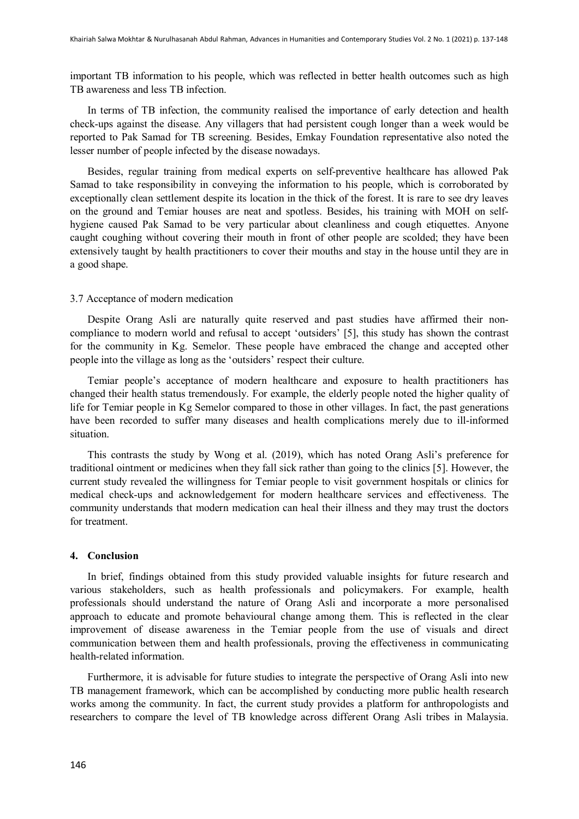important TB information to his people, which was reflected in better health outcomes such as high TB awareness and less TB infection.

In terms of TB infection, the community realised the importance of early detection and health check-ups against the disease. Any villagers that had persistent cough longer than a week would be reported to Pak Samad for TB screening. Besides, Emkay Foundation representative also noted the lesser number of people infected by the disease nowadays.

Besides, regular training from medical experts on self-preventive healthcare has allowed Pak Samad to take responsibility in conveying the information to his people, which is corroborated by exceptionally clean settlement despite its location in the thick of the forest. It is rare to see dry leaves on the ground and Temiar houses are neat and spotless. Besides, his training with MOH on selfhygiene caused Pak Samad to be very particular about cleanliness and cough etiquettes. Anyone caught coughing without covering their mouth in front of other people are scolded; they have been extensively taught by health practitioners to cover their mouths and stay in the house until they are in a good shape.

#### 3.7 Acceptance of modern medication

Despite Orang Asli are naturally quite reserved and past studies have affirmed their noncompliance to modern world and refusal to accept 'outsiders' [5], this study has shown the contrast for the community in Kg. Semelor. These people have embraced the change and accepted other people into the village as long as the 'outsiders' respect their culture.

Temiar people's acceptance of modern healthcare and exposure to health practitioners has changed their health status tremendously. For example, the elderly people noted the higher quality of life for Temiar people in Kg Semelor compared to those in other villages. In fact, the past generations have been recorded to suffer many diseases and health complications merely due to ill-informed situation.

This contrasts the study by Wong et al. (2019), which has noted Orang Asli's preference for traditional ointment or medicines when they fall sick rather than going to the clinics [5]. However, the current study revealed the willingness for Temiar people to visit government hospitals or clinics for medical check-ups and acknowledgement for modern healthcare services and effectiveness. The community understands that modern medication can heal their illness and they may trust the doctors for treatment.

# **4. Conclusion**

In brief, findings obtained from this study provided valuable insights for future research and various stakeholders, such as health professionals and policymakers. For example, health professionals should understand the nature of Orang Asli and incorporate a more personalised approach to educate and promote behavioural change among them. This is reflected in the clear improvement of disease awareness in the Temiar people from the use of visuals and direct communication between them and health professionals, proving the effectiveness in communicating health-related information.

Furthermore, it is advisable for future studies to integrate the perspective of Orang Asli into new TB management framework, which can be accomplished by conducting more public health research works among the community. In fact, the current study provides a platform for anthropologists and researchers to compare the level of TB knowledge across different Orang Asli tribes in Malaysia.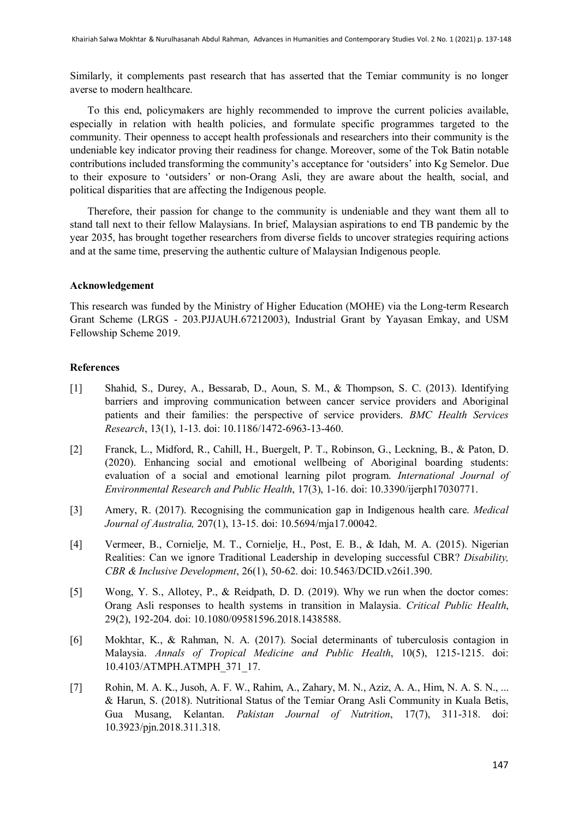Similarly, it complements past research that has asserted that the Temiar community is no longer averse to modern healthcare.

To this end, policymakers are highly recommended to improve the current policies available, especially in relation with health policies, and formulate specific programmes targeted to the community. Their openness to accept health professionals and researchers into their community is the undeniable key indicator proving their readiness for change. Moreover, some of the Tok Batin notable contributions included transforming the community's acceptance for 'outsiders' into Kg Semelor. Due to their exposure to 'outsiders' or non-Orang Asli, they are aware about the health, social, and political disparities that are affecting the Indigenous people.

Therefore, their passion for change to the community is undeniable and they want them all to stand tall next to their fellow Malaysians. In brief, Malaysian aspirations to end TB pandemic by the year 2035, has brought together researchers from diverse fields to uncover strategies requiring actions and at the same time, preserving the authentic culture of Malaysian Indigenous people.

#### **Acknowledgement**

This research was funded by the Ministry of Higher Education (MOHE) via the Long-term Research Grant Scheme (LRGS - 203.PJJAUH.67212003), Industrial Grant by Yayasan Emkay, and USM Fellowship Scheme 2019.

# **References**

- [1] Shahid, S., Durey, A., Bessarab, D., Aoun, S. M., & Thompson, S. C. (2013). Identifying barriers and improving communication between cancer service providers and Aboriginal patients and their families: the perspective of service providers. *BMC Health Services Research*, 13(1), 1-13. doi: 10.1186/1472-6963-13-460.
- [2] Franck, L., Midford, R., Cahill, H., Buergelt, P. T., Robinson, G., Leckning, B., & Paton, D. (2020). Enhancing social and emotional wellbeing of Aboriginal boarding students: evaluation of a social and emotional learning pilot program. *International Journal of Environmental Research and Public Health*, 17(3), 1-16. doi: 10.3390/ijerph17030771.
- [3] Amery, R. (2017). Recognising the communication gap in Indigenous health care. *Medical Journal of Australia,* 207(1), 13-15. doi: 10.5694/mja17.00042.
- [4] Vermeer, B., Cornielje, M. T., Cornielje, H., Post, E. B., & Idah, M. A. (2015). Nigerian Realities: Can we ignore Traditional Leadership in developing successful CBR? *Disability, CBR & Inclusive Development*, 26(1), 50-62. doi: 10.5463/DCID.v26i1.390.
- [5] Wong, Y. S., Allotey, P., & Reidpath, D. D. (2019). Why we run when the doctor comes: Orang Asli responses to health systems in transition in Malaysia. *Critical Public Health*, 29(2), 192-204. doi: 10.1080/09581596.2018.1438588.
- [6] Mokhtar, K., & Rahman, N. A. (2017). Social determinants of tuberculosis contagion in Malaysia. *Annals of Tropical Medicine and Public Health*, 10(5), 1215-1215. doi: 10.4103/ATMPH.ATMPH\_371\_17.
- [7] Rohin, M. A. K., Jusoh, A. F. W., Rahim, A., Zahary, M. N., Aziz, A. A., Him, N. A. S. N., ... & Harun, S. (2018). Nutritional Status of the Temiar Orang Asli Community in Kuala Betis, Gua Musang, Kelantan. *Pakistan Journal of Nutrition*, 17(7), 311-318. doi: 10.3923/pjn.2018.311.318.